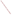